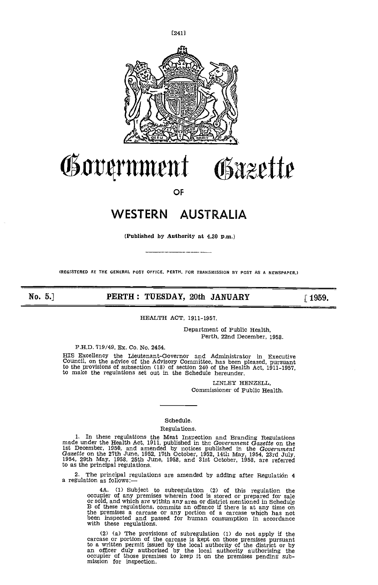

# Government Gäzette

OF

### WESTERN AUSTRALIA

(Published by Authority at 4.30 p.m.)

(REGISTERED AT THE GENERAL POST OFFICE, PERTH, FOR TRANSMISSION BY POST AS A NEWSPAPER.)

No. 5.] PERTH: TUESDAY, 20th JANUARY [1959.

### HEALTH ACT, 1911-1957.

Department of Public Health, Perth, 22nd December, 1958.

PH.D. 719/49, Ex. Co. No. 2454.

HIS Excellency the Lieutenant-Governor and Administrator in Executive Council, on the advice of the Advisory Committee, has been pleased, pursuant to the provisions of subsection (18) of section 240 of the Health Act, 1911-1957, to make the regulations set out in the Schedule hereunder.

> LINLEY HENZELL Commissioner of Public Health.

### Schedule.

### Regulations.

1. In these regulations the Meat Inspection and Branding Regulations<br>made under the Health Act, 1911, published in the *Government Gazette* on the<br>1st December, 1950, and amended by notices published in the *Government*<br>Ga

2. The principal regulations are amended by adding after Regulation 4 a regulation as follows:-

4A. (1) Subject to subregulation (2) of this regulation the occupier of any premises wherein food is stored or prepared for sale or sold, and which are within any area or district mentioned in Schedule It is of these regulations, commits an officient direct if there is a term in schedule the premises a carcase or any portion of a carcase which has not been inspected and passed for human consumption in accordance with the

(2) (a) The provisions of subregulation (1) do not apply if the carcase or portion of the carcase is kept on those premises pursuant to a written permit issued by the local authority of the district or by<br>an officer duly authorised by the local authority of the district or by<br>an officer duly authorised by the local authority authorising the<br>occupier of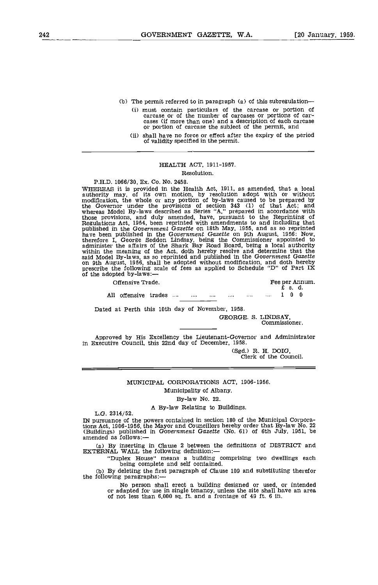- (b) The permit referred to in paragraph (a) of this subregulation
	- must contain particulars of the carcase or portion of carcase or of the number of carcases or portions of car- cases (if more than one) and a description of each carcase or portion of carcase the subject of the permit, and
	- shall have no force or effect after the expiry of the period of validity specified in the permit.

### HEALTH ACT, 1911-1957.

### Resolution.

PH.D. 1066/30, Ex. Co. No. 2458.

WHEREAS it Is provided in the Health Act, 1911, as amended, that a local authority may, of its own motion, by resolution adopt with or without modification, the whole or any portion of by-laws caused to be prepared by the Governor under the provisions of section 343 (1) of that Act; and whereas Model By-laws described as Series "A," prepared in accordance with whose provisions, and duly amended, have, pursuant to the Reprinting of<br>Regulations Act, 1954, been reprinted with amendments to and including that<br>published in the Government Gazette on 18th May, 1955, and as so reprinted administer the affairs of the Shark Bay Road Board, being a local authority within the meaning of the Act, doth hereby resolve and determine that the said Model By-laws, as so reprinted and published in the Government Gazette<br>on 9th August, 1956, shall be adopted without modification, and doth hereby<br>prescribe the following scale of fees as applied to Schedule "D" of Pa of the adopted by-laws:-

| Offensive Trade. | Fee per Annum.<br>£sd. |
|------------------|------------------------|
| $-$              |                        |

All offensive trades .... .... .... .... .... .... 1 0 0

Dated at Perth this 10th day of November, 1958.

GEORGE. S. LINDSAY, Commissioner.

Approved by His Excellency the Lieutenant-Governor and Administrator In Executive Council, this 22nd day of December, 1958.

(Sgd.) R. H. DOIG, Clerk of the Council.

### MUNICIPAL CORPORATIONS ACT, 1906-1956.

Municipality of Albany.

By-law No. 22.

### A By-law Relating to Buildings. L.G. 2314/52.

IN pursuance of the powers contained in section 180 of the Municipal Corporations Act, 1906-1956, the Mayor and Councillors hereby order that By-law No. 22 (Buildings) published in Government Gazette (No. 61) of 6th July, 1951, be amended as follows:—

(a) By inserting in Clause 2 between the definitions of DISTRICT and EXTERNAL WALL the following definition:—

'Duplex House" means a building comprising two dwellings each being complete and self contained.

(b) By deleting the first paragraph of Clause 109 and substituting therefor the following paragraphs:

> No person shall erect a building designed or used, or intended or adapted for use in single tenancy, unless the site shall have an area of not less than 6,000 sq. ft. and a frontage of 49 ft. 6 in.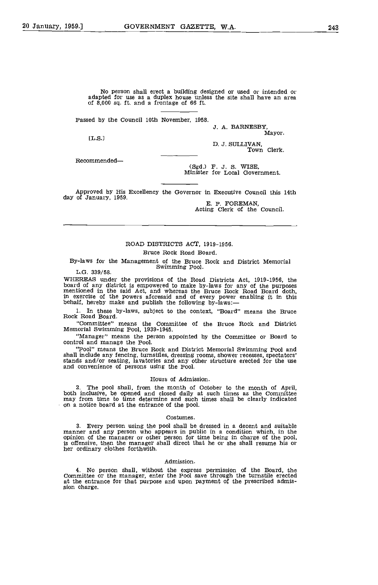No person shall erect a building designed or used or intended or adapted for use as a duplex house unless the site shall have an area of 8,000 sq. ft. and a frontage of 66 ft.

Passed by the Council 10th November, 1958.

J. A. BARNESBY,

Mayor. [L.S.l

D. J. SULLIVAN, Town Clerk.

Recommended-

(Sgd.) F. J. S. WISE, Minister for Local Government.

Approved by His Excellency the Governor in Executive Council this 14th

E. P. FOREMAN,<br>Acting Clerk of the Council.

### ROAD DISTRICTS ACT, 1919-1956.

### Bruce Rock Road Board.

By-laws for the Management of the Bruce Rock and District Memorial Swimming Pool. L.G. 339/58.

WHEREAS under the provisions of the Road Districts Act, 1919-1956, the board of any district is empowered to make by-laws for any of the purposes mentioned in the said Act, and whereas the Bruce Rock Road Board doth, in ex

In these by-laws, subject to the context, "Board" means the Bruce Rack Road Board.

"Committee" means the Committee of the Bruce Rock and District Memorial Swimming Pool, 1939-1945.

"Manager" means the person appointed by the Committee or Board to control and manage the Pool.

"Pool" means the Bruce Rock and District Memorial Swimming Pool and stands and/or seating, lavatories and any other structure erected for the use and convenience of persons using the Pool.

### Hours of Admission.

The pool shall, from the month of October to the month of April, both inclusive, be opened and closed daily at such times as the Committee may from time to time determine and such times shall be clearly indicated on a notice board at the entrance of the pool.

### Costumes.

3. Every person using the pool shall be dressed in a decent and suitable manner and any person who appears in public in a condition which, in the opinion of the manager or other person for time being in charge of the pool,

### Admission.

No person shall, without the express permission of the Board, the Committee or the manager, enter the Pool save through the turnstile erected at the entrance for that purpose and upon payment of the prescribed admis-<br>sion charge.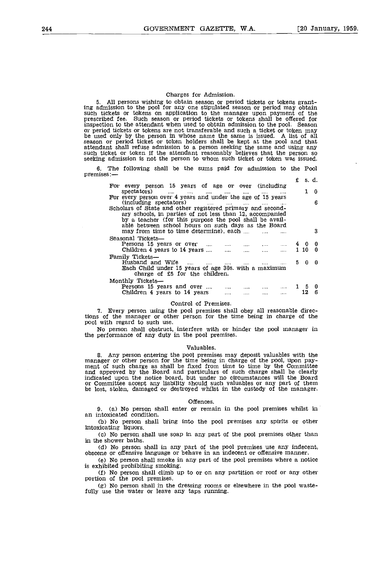### Charges for Admission.

All persons wishing to obtain season or period tickets or tokens grant- ing admission to the pool for any one stipulated season or period may obtain such tickets or tokens on application to the manager upon payment of the prescribed fee. Such season or period tickets or tokens shall be offered for inspection to the attendant when used to obtain admission to the pool. Season or period tickets or tokens are not transferable and such a ticket or token may be used only by the person in whose name the same is issued. A list of all season or period ticket or token holders shall be kept at the pool such ticket or token if the attendant reasonably believes that the person so seeking admission is not the person to whom such ticket or token was issued.

The following shall be the sums paid for admission to the Pool 6. premises:-

|                                                                                                                                                                                   | £ |     | s. d.         |
|-----------------------------------------------------------------------------------------------------------------------------------------------------------------------------------|---|-----|---------------|
| For every person 15 years of age or over (including<br>spectators)<br>المنتور المتعرف المتحدث المتحدث المتحدث المتحدث<br>$\cdots$<br>1.111                                        |   |     | $\mathbf{0}$  |
| For every person over 4 years and under the age of 15 years<br>(including spectators)<br>and the state.<br><b>Address Committee</b>                                               |   |     | 6             |
| Scholars of State and other registered primary and second-<br>ary schools, in parties of not less than 12, accompanied                                                            |   |     |               |
| by a teacher (for this purpose the pool shall be avail-<br>able between school hours on such days as the Board                                                                    |   |     |               |
| may from time to time determine), each<br>Sensonal Tickets—                                                                                                                       |   |     | 3             |
| Persons 15 years or over $\dots$ $\dots$ $\dots$ $\dots$ $\dots$ $\dots$ $\dots$ $4 \quad 0$<br>Children 4 years to 14 years $\dots$ $\dots$ $\dots$ $\dots$ $\dots$ $1 \quad 10$ |   |     | 0<br>$\Omega$ |
| Family Tickets-                                                                                                                                                                   |   |     |               |
| Husband and Wife<br><b>Sand Committee</b><br>$\cdots$<br>$\cdots$<br>Each Child under 15 years of age 30s, with a maximum                                                         |   | 500 |               |
| charge of £5 for the children.                                                                                                                                                    |   |     |               |
| Monthly Tickets—<br>Persons 15 years and over                                                                                                                                     |   | 15  | 0             |
| Children 4 years to 14 years<br>$\cdots$<br><b>Contract Contract Contract</b><br>$\sim$ 100 $\sim$                                                                                |   |     | ß             |

### Control of Premises.

Every person using the pool premises shall obey all reasonable directions of the manager or other person for the time being in charge of the pool with regard to such use.

No person shall obstruct, interfere with or hinder the pool manager in the performance of any duty in the pool premises.

### Valuables.

8. Any person entering the pool premises may deposit valuables with the manager or other person for the time being in charge of the pool, upon payment of such charge as shall be fixed from time to time by the Committee indicated upon the notice board, but under no circumstances will the Board<br>or Committee accept any liability should such valuables or any part of them<br>be lost, stolen, damaged or destroyed whilst in the custody of the mana

#### Offences.

(a) No person shall enter or remain in the pool premises whilst in an intoxicated condition.

(b) No person shall bring into the pool premises any spirits or other intoxicating liquors.

(a) No person shall use soap in any part of the pool premises other than in the shower baths.

No person shall in any part of the pool premises use any indecent, obscene or offensive language or behave in an indecent or offensive manner.

No person shall smoke in any part of the pool premises where a notice is exhibited prohibiting smoking,

No person shall climb up to or on any partition or roof or any other portion of the pool premises.

No person shall in the dressing rooms or elsewhere in the pool waste- fully use the water or leave any taps running.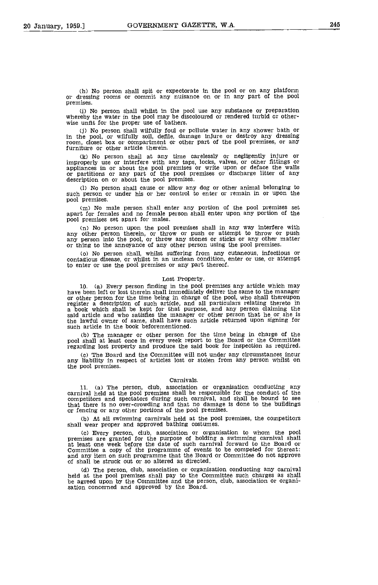(h) No person shall spit or expectorate in the pool or on any platform or dressing rooms or commit any nuisance on or in any part of the pool premises.

Ci) No person shall whilst in the pool use any substance or preparation whereby the water in the pool may be discoloured or rendered turbid or other- wise unfit for the proper use of bathers.

Ci) No person shall wilfully foul or pollute water in any shower bath or in the pool, or wilfully soil, defile, damage injure or destroy any dressing room, closet box or compartment or other part of the pool premises, or any furniture or other article therein.

(k) No person shall at any time carelessly or negligently injure or the property use or interfere with any taps, locks, valves, or other fittings or<br>appliances in or about the pool premises or write upon or deface the walls<br>or partitions or any part of the pool premises or discharge litter description on or about the pool premises.

(1) No person shall cause or allow any dog or other animal belonging to such person or under his or her control to enter or remain in or upon the pool premises.

Cm) No male person shall enter any portion of the pool premises set apart for females and no female person shall enter upon any portion of the pool premises set apart for males.

No person upon the pool premises shall in any way interfere with any other person therein, or throw or push or attempt to throw or push any person into the pool, or throw any stones or sticks or any other matter or thing to the annoyance of any other person using the pool premises.

No person shall, whilst suffering from any cutaneous, infectious or contagious disease, or whilst in an unclean condition, enter or use, or attempt to enter or use the pool premises or any part thereof.

### Lost Property.

(a) Every person finding in the pool premises any article which may have been left or lost therein shall immediately deliver the same to the manager or other person for the time being in charge of the pool, who shall thereupon register a description of such article, and all particulars relating thereto in a book which shall be kept for that purpose, and any person claiming the said article and who satisfies the manager or other person that he or she is the lawful owner of same, shall have such article returned upon signing for such article in the book beforementioned.

Kb) The manager or other person for the time being in charge of the pool shall at least once in every week report to the Board or the Committee regarding lost property and produce the said book for inspection as required.

Cc) The Board and the Committee will not under any circumstances incur any liability in respect of articles lost or stolen from any person whilst on the pool premises.

### Carnivals,

(a) The person, club, association or organisation conducting any carnival held at the pool premises shall be responsible for the conduct of the competitors and spectators during such carnival, and shall be bound to see that there is no over-crowding and that no damage is done to the buildings or fencing or any other portions of the pool premises.

Kb) At all swimming carnivals held at the pool premises, the competitors shall wear proper and approved bathing costumes.

Cc) Every person, club, association or organisation to whom the pool premises are granted for the purpose of holding a swimming carnival shall at least one week before the date of such carnival forward to the Board or Committee a copy of the programme of events to be competed for thereat: and any item on such programme that the Board or Committee do not approve of shall be struck out or so altered as directed.

(d) The person, club, association or organisation conducting any carnival<br>held at the pool premises shall pay to the Committee such charges as shall<br>be agreed upon by the Committee and the person, club, association or orga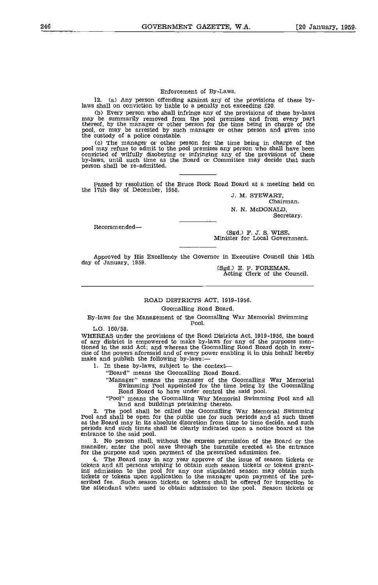### Enforcement of By-Laws.

12. (a) Any person offending against any of the provisions of these bylaws shall on conviction by liable to a penalty not exceeding £20.

Every person who shall infringe any of the provisions of these by-laws may be summarily removed from the pool premises and from every part thereof, by the manager or other person for the time being in charge of the pool, or may be arrested by such manager or other person and given into

the custody of a police constable.<br>
The manager or other person for the time being in charge of the pool may refuse to admit to the pool premises any person who shall have been convicted of wilfully disobeying or infringing any of the provisions of these by-laws, until such time as the Board or Committee may decide that such person shall be re-admitted.

Passed by resolution of the Bruce Rock Road Board at a meeting held on the 17th day of December, 1958.<br>J. M. STEWART, Chairman.

N. N. McDONALD Secretary.

Recommended

(Sgd.) F. J. S. WISE,<br>Minister for Local Government.

Approved by His Excellency the Governor in Executive Council this 14th day of January, 1959.

 $(Sgd.)$  E. P. FOREMAN,<br>Acting Clerk of the Council.

### ROAD DISTRICTS ACT, 1919-1956.

### Goomalling Road Board.

By-laws for the Management of the Goomalling War Memorial Swimming Pool.

L.G. 160/58.<br>WHEREAS under the provisions of the Road Districts Act, 1919-1956, the board of any district is empowered to make by-laws for any of the purposes mentioned in the said Act; and whereas the Goomalling Road Board doth in exercise of the powers aforesaid and of every power enabling it in this behalf hereby<br>make and publish the following by-laws:—<br>1. In these by-laws, subject to the context—<br>"Board" means the Goomalling Road Board.

"Manager" means the manager of the Goomalling War Memorial<br>Swimming Pool appointed for the time being by the Goomalling<br>Road Board to have under control the said pool.<br>"Pool" means the Goomalling War Memorial Swimming Pool

2. The pool shall be called the Goomalling War Memorial Swimming<br>Pool and shall be open for the public use for such periods and at such times<br>as the Board may in its absolute discretion from time to time decide, and such<br>p

entrance to the said pool.<br>3. No person shall, without the express permission of the Board or the manager, enter the pool save through the turnstile erected at the entrance for the purpose and upon payment of the prescribed admission fee.

The Board may in any year approve of the issue of season tickets or tokens and all persons wishing to obtain such season tickets or tokens grant-ing admission to the pool for any one stipulated season may obtain such tickets or tokens upon application to the manager upon payment of the pre-<br>scribed fee. Such season tickets or tokens shall be offered for inspection to scribed fee. Such season tickets or tokens shall be offered for inspection to the attendant when used to obtain admission to the pool. Season tickets or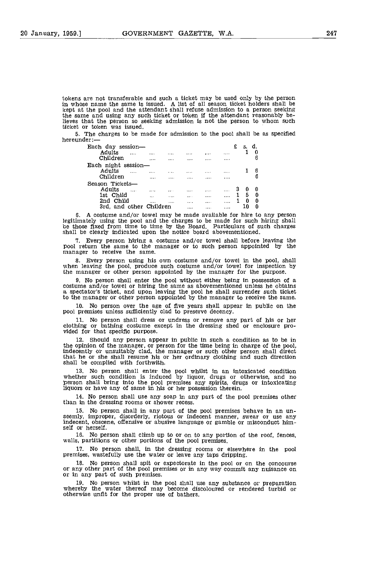tokens are not transferable and such a ticket may be used only by the person in whose name the same is issued. A list of all season ticket holders shall be kept at the pool and the attendant shall refuse admission to a person seeking the same and using any such ticket or token if the attendant reasonably believes that the person so seeking admission is not the person to whom such ticket or token was issued.

5. The charges to be made for admission to the pool shall be as specified hereunder:

| Each day session-       |             |         |           |          |          | £ | s. |   |
|-------------------------|-------------|---------|-----------|----------|----------|---|----|---|
| Adults<br>$\cdots$      | $+ + + +$   |         | 1.1.1.7   |          |          |   |    |   |
| Children                | $1 + 1 + 1$ |         |           | $\cdots$ |          |   |    |   |
| Each night session-     |             |         |           |          |          |   |    |   |
| Adults<br>$\cdots$      | 11.1.7      | 1.1.1   |           |          | $1.14 -$ |   |    | 6 |
| Children                | 1.1.1.1     | 1.1.1.4 | .         |          | .        |   |    |   |
| Season Tickets-         |             |         |           |          |          |   |    |   |
| Adults<br>$\cdots$      | 1.1.1       | 1.1.1   |           |          |          |   | n  | 0 |
| 1st Child               | $\cdots$    |         | $+ 1 + 1$ |          |          |   | 5  | 0 |
| 2nd Child               |             |         | 1.1.1     | $-0.11$  |          |   | 0  | 0 |
| 3rd, and other Children |             |         | .         | .        |          |   |    | n |

A costume and/or towel may be made available for hire to any person legitimately using the pool and the charges to be made for such hiring shall be those fixed from time to time by the Board. Particulars of such charges shall be clearly indicated upon the notice board abovementioned.

Every person hiring a costume and/or towel shall before leaving the pool return the same to the manager or to such person appointed by the manager to receive the same.

Every person using his own costume and/or towel in the pool, shall when leaving the pool, produce such costume and/or towel for inspection by the manager or other person appointed by the manager for the purpose.

No person shall enter the pool without either being in possession of a costume and/or towel or hiring the same as abovementioned unless he obtains a spectator's ticket, and upon leaving the pool he shall surrender such ticket to the manager or other person appointed by the manager to receive the same.

No person over the age of five years shall appear in public on the pool premises unless sufficiently clad to preserve decency.

No person shall dress or undress or remove any part of his or her clothing or bathing costume except in the dressing shed or enclosure pro- vided for that specific purpose.

Should any person appear in public in such a condition as to be in the opinion of the manager, or person for the time being in charge of the pool, indecently or unsuitably clad, the manager or such other person shall direct that he or she shall resume his or her ordinary clothing and such shall be complied with forthwith.

No person shall enter the pool whilst in an intoxicated condition whether such condition is induced by liquor, drugs or otherwise, and no person shall bring into the pool premises any spirits, drugs or intoxicating liquors or have any of same in his or her possession therein.

No person shall use any soap in any part of the pool premises other than in the dressing rooms or shower recess.

No person shall in any part of the pool premises behave in an un- seemly, improper, disorderly, riotous or indecent manner, swear or use any indecent, obscene, offensive or abusive language or gamble or misconduct him- self or herself.

No person shall climb up to or on to any portion of the roof, fences, walls, partitions or other portions of the pool premises.

17. No person shall, in the dressing rooms or elsewhere in the pool premises, wastefully use the water or leave any taps dripping.<br>18. No person shall spit or expectorate in the pool or on the concourse

No person shall spit or expectorate in the pool or on the concourse or any other part of the pool premises or in any way commit any nuisance on or in any part of such premises.

19, No person whilst in the pool shall use any substance or preparation whereby the water thereof may become discoloured or rendered turbid or otherwise unfit for the proper use of bathers.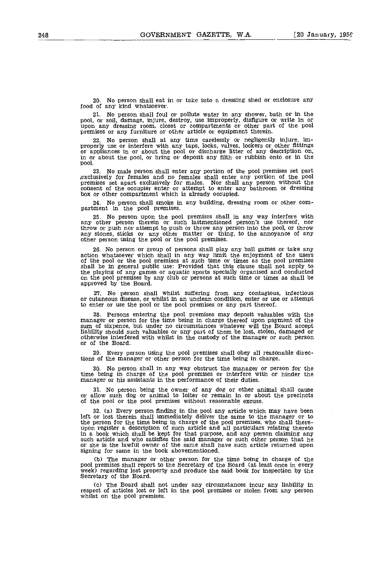No person shall eat in or take into a dressing shed or enclosure any food of any kind whatsoever.

21. No person shall foul or pollute water in any shower, bath or in the pool, or soil, damage, injure, destroy, use improperly, disfigure or write in or upon any dressing room, closet or compartments or other part of the p

22. No person shall at any time carelessly or negligently injure, improperly use or interfere with any taps, locks, valves, lockers or other fittings or appliances in or about the pool or discharge litter of any descriptio pool.

23. No male person shall enter any portion of the pool premises set part exclusively for females and no females shall enter any portion of the pool premises set apart exclusively for males. Nor shall any person without the box or other compartment which is already occupied.

No person shall smoke in any building, dressing room or other com- partment in the pool premises.

25. No person upon the pool premises shall in any way interfere with<br>any other person therein or such lastmentioned person's use thereof, nor<br>throw or push nor attempt to push or throw any person into the pool, or throw<br>an

No person or group of persons shall play any ball games or take any action whatsoever which shall in any way limit the enjoyment of the users of the pool or the pool premises at such time or times as the pool premises shall be in general public use: Provided that this clause shall not appl the playing of any games or aquatic sports specially organised and conducted on the pool premises by any club or persons at such time or times as shall be approved by the Board.

No person shall whilst suffering from any contagious, infectious or cutaneous disease, or whilst in an unclean condition, enter or use or attempt to enter or use the pool or the pool premises or any part thereof.

Persons entering the pool premises may deposit valuables with the manager or person for the time being in charge thereof upon payment of the sum of sixpence, but under no circumstances whatever will the Board accept liability should such valuables or any part of them be lost, stolen, damaged or otherwise interfered with whilst in the custody of the manager or such person or of the Board.

29, Every person using the pool premises shall obey all reasonable directions of the manager or other person for the time being in charge.

No person shall in any way obstruct the manager or person for the time being in charge of the pool premises or interfere with or hinder the manager or his assistants in the performance of their duties.

No person being the owner of any dog or other animal shall cause or allow such dog or animal to loiter or remain in or about the precincts of the pool or the pool premises without reasonable excuse.

32, (a) Every person finding in the pool any article which may have been left or lost therein shall immediately deliver the same to the manager or to the person for the time being in charge of the pool premises, who shall there- upon register a description of such article and all particulars relating thereto In a book which shall be kept for that purpose, and any person claiming any such article and who satisfies the said manager or such other person that he or she is the lawful owner of the same shall have such article returned upon signing for same in the book abovementioned.

(b) The manager or other person for the time being in charge of the pool premises shall report to the Secretary of the Board (at least once in every week) regarding lost property and produce the said book for inspection by

The Board shall not under any circumstances incur any liability in respect of articles lost or left in the pool premises or stolen from any person whilst on the pool premises.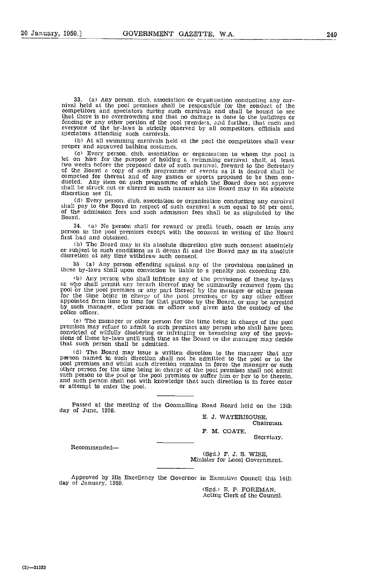(a) Any person, club, association or organisation conducting any car- nival held at the pool premises shall he responsible for the conduct of the competitors and spectators during such carnivals and shall be bound to see that there is no overcrowding and that no damage is done to the buildings or fencing or any other portion of the pool premises, and further, that each and everyone of the by-laws is strictly observed by all competitors, officials and spectators attending such carnivals.

(h) At all swimming carnivals held at the pool the competitors shall wear proper and approved bathing costumes.

(c Every person, club, association or organisation to whom the pool is Jet on hire for the purpose of holding a swimming carnival shall, at least two weeks before the proposed date of such carnival, forward to the Secretary of the Board a copy of such programme of events as it is desired shall be competed for thereat and of any games or sports proposed to be then con- ducted. Any item on such programme of which the Board does not approve shall be struck out or altered in such manner as the Board may in its absolute discretion see fit.

(d) Every person, club, association or organisation conducting any carnival shall pay to the Board in respect of such carnival a sum equal to 50 per cent.<br>Of the admission fees and such admission fees shall be as stipulate

(a) No person shall for reward or profit teach, coach or train any person in the pool premises except with the consent in writing of the Board first had and obtained.

Eb) The Board may in its absolute discretion give such consent absolutely or subject to such conditions as it deems fit and the Board may in its absolute discretion at any time withdraw such consent.

35 (a) Any person offending against any of the provisions contained in these by-laws shall upon conviction be liable to a penalty not exceeding £20.

b) Any person who shall infringe any of the provisions of these by-laws or who shall permit any breach thereof may be summarily removed from the pool or the pool premises or any part thereof by the manager or other person for the time being in charge of the pool premises or by any other prison appointed from time to time for that purpose by the Board, or may be arrested by such manager, other person or officer and given into the custody of

(c) The manager or other person for the time being in charge of the pool premises may refuse to admIt to such premises any person who shall have been convicted' of wilfully disobeying or infringing or breaching any of the provi- sions of these by-laws until such time as the Board or the manager may decide that such person shall be admitted.

(d) The Board may issue a written direction to the manager that any<br>person named in such direction shall not be admitted to the pool or to the<br>pool premises and whilst such direction remains in force the manager or such<br>o

Passed at the meeting of the Goomalling Road Board held on the 13th day of June, 1958.

E. J. WATERHOUSE Chairman.

F. M. COATE,

Secretary.

Recommended

(Sgd.) F. J. S. WISE, Minister for Local Government.

Approved by His Excellency the Governor in Executive Council this 14th day of January, 1959.

(Sgd.) E. P. FOREMAN,<br>Acting Clerk of the Council,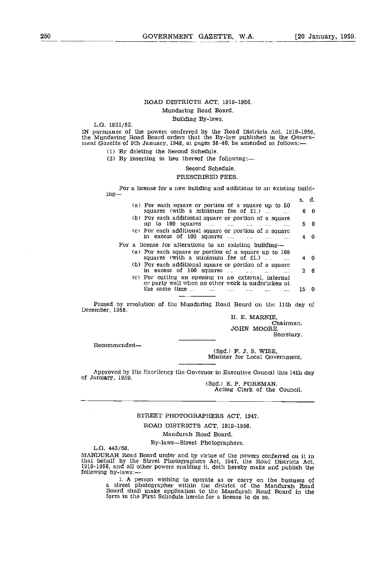### ROAD DISTRICTS ACT, 1919-1956.

### Mundaring Road Board.

### Building By-laws.<br>L.G. 1921/52.

IN pursuance of the powers conferred by the Road Districts Act, 1919-1956, the Mundaring Road Board orders that the By-law published in the Govern-<br>ment Gazette of 9th January, 1948, at pages 38-46. be amended as follows:

(1) By deleting the Second Schedule.

By inserting in lieu thereof the following:

#### Second Schedule.

### PRESCRIBED FEES

For a license for a new building and additions to an existing building— $s, d$ .

|  |                                                                                                                                          | s. d. |     |
|--|------------------------------------------------------------------------------------------------------------------------------------------|-------|-----|
|  | (a) For each square or portion of a square up to 50<br>squares (with a minimum fee of $£1$ .)                                            | 6.    | - 0 |
|  | (b) For each additional square or portion of a square<br>up to $100$ squares $\ldots$ $\ldots$ $\ldots$<br>and the state of the state of |       | 50  |
|  | (c) For each additional square or portion of a square<br>in excess of 100 squares<br>$\sim$                                              |       | 40  |
|  | For a license for alterations to an existing building-                                                                                   |       |     |
|  | (a) For each square or portion of a square up to 100<br>squares (with a minimum fee of $£1$ .)                                           |       | 40  |
|  | (b) For each additional square or portion of a square<br>in excess of 100 squares                                                        |       | 26  |
|  | (c) For cutting an opening in an external, internal<br>or party wall when no other work is undertaken at                                 |       |     |
|  | the same time $\dots$<br>.                                                                                                               |       | n   |

Passed by resolution of the Mundaring Road Board on the 11th day of December, 1958.

H. B. MARNIE, Chairman. JOHN MOORE, Secretary.

Recommended-

(Sgd.) F. J. S. WISE, Minister for Local Government.

Approved by His Excellency the Governor in Executive Council this 14th day of January, 1959.<br>(Sgd.) E. P. FOREMAN,<br>Acting Clerk of the Council.

### STREET PHOTOGRAPHERS ACT, 1947.

### ROAD DISTRICTS ACT, 1919-1956.

### Mandurah Road Board.

By-laws-Street Photographers.<br>L.G. 443/58.

MANDURAH Road Board under and by virtue of the powers conferred on it in<br>that behalf by the Street Photographers Act, 1947, the Road Districts Act,<br>1919-1956, and all other powers enabling it, doth hereby make and publish

1. A person wishing to operate as or carry on the business of<br>a street photographer within the district of the Mandurah Road<br>Board shall make application to the Mandurah Road Board in the<br>form in the First Schedule hereto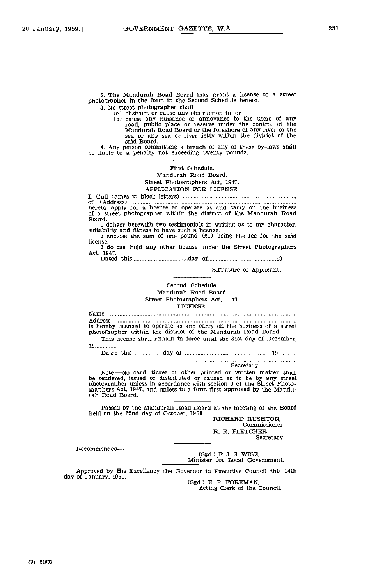2. The Mandurah Road Board may grant a license to a street photographer in the form in the Second Schedule hereto.

3. No street photographer shall<br>(a) obstruct or cause any obstruction in, or<br>(b) cause any nuisance or annoyance to the users of any road, public place or reserve under the control of the Mandurah Road Board or the foreshore of any river or the sea or any sea or river jetty within the district of the said Board.

4. Any person committing a breach of any of these by-laws shall be liable to a penalty not exceeding twenty pounds.

### First Schedule. Mandurah Road Board. Street Photographers Act, 1947 APPLICATION FOR LICENSE

I, (full names in block letters)

of (Address) hereby apply for a license to operate as and carry on the business of a street photographer within the district of the Mandurah Road Board.<br>  $\begin{array}{c}\n\text{I deliver herewith; two testimonials in writing as to my character,}\n\end{array}$ 

I deliver herewith two testimonials in writing as to my character, suitability and fitness to have such a license. I enclose the sum of one pound (ti) being the fee for the said

license. I do not hold any other license under the Street Photographers Act, 1947. Dated this day of <sup>19</sup>

Signature of Applicant.

### Second Schedule.

Mandurah Road Board. Street Photographers Act, 1947. LICENSE.

Name

Address Address<br>is hereby licensed to operate as and carry on the business of a s<br>photographer within the district of the Mandurah Road Board.

This license shall remain in force until the 31st day of December, 19. . . . . . . . . . . . . . .

Dated this day of 19

Note.—No card, ticket or other printed or written matter shall<br>be tendered, issued or distributed or caused so to be by any street<br>photographer unless in accordance with section 9 of the Street Photo-<br>graphers Act, 1947, a

Passed by the Mandurah Road Board at the meeting of the Board held on the 22nd day of October, 1958.<br>RICHARD RUSHTON,

RICHARD RUSHTON,<br>Commissioner. R. R. FLETCHER, Secretary.

Recommended

(Sgd.) F. J. S. WISE, Minister for Local Government.

Approved by His Excellency the Governor in Executive Council this 14th

(Sgd.) E. P. FOREMAN, Acting Clerk of the Council.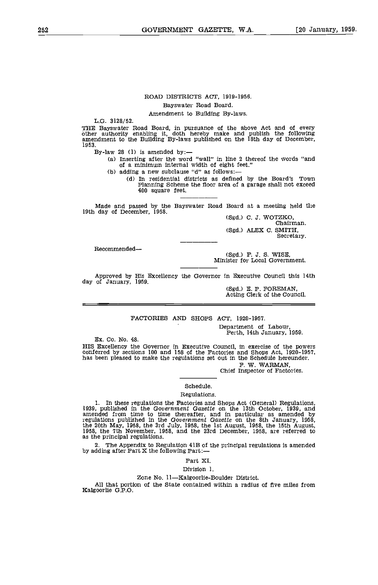### ROAD DISTRICTS ACT, 1919-1956. Bayswater Road Board.

Amendment to Building By-Jaws.

L.G. 3128/52.

THE Bayswater Road Board, in pursuance of the above Act and of every other authority enabling it, doth hereby make and publish the following amendment to the Building By-laws published on the lath day of December, 1953.

By-law 28 (1) is amended by: —<br>
(a) Inserting after the word "wall" in line 2 thereof the words "and<br>
of a minimum internal width of eight feet."

(b) adding a new subclause "d" as follows:  $-$  (d) In residential districts as defined by the Board's Town Planning Scheme the floor area of a garage shall not exceed 400 square feet.

Made and passed by the Bayswater Road Board at a meeting held the 19th day of December, 1958.<br>(Sgd.) C. J. WOTZKO, Chairman.

(Sgd.) ALEX C. SMITH,<br>Secretary.

Recommended

(Sgd.) F. J. S. WISE, Minister for Local Government.

Approved by His Excellency the Governor in Executive Council this 14th day of January, 1959.

Acting Clerk of the Council.

FACTORIES AND SHOPS ACT, 1920-1957.

Department of Labour, Perth, 14th January, 1959.

Ex. Co. No. 48.

HIS Excellency the Governor in Executive Council, in exercise of the powers conferred by sections 100 and 158 of the Factories and Shops Act, 1920-1957, has been pleased to make the regulations set out in the Schedule her

Chief Inspector of Factories.

Schedule.

#### Regulations.

1, In these regulations the Factories and Shops Act (General) Regulations. 19.39, published in the Government Gazette on the 13th October, 1939, and amended from time to time thereafter, and in particular as amended by regulations published in the Government Gazette on the 8th January, 1958, the 20th May, 1958, the 3rd July, 1958, the 1st August, 1958, the 15th August, 1958, the 7th November, 1958, and the 23rd December, 1958, are referr as the principal regulations.

2. The Appendix to Regulation 41B of the principal regulations is amended by adding after Part X the following Part:—

Part XI.

Division 1.

Zone No. 11-Kalgoorlie-Boulder District.

All that portion of the State contained within a radius of five miles from Kalgoorile G.P.O.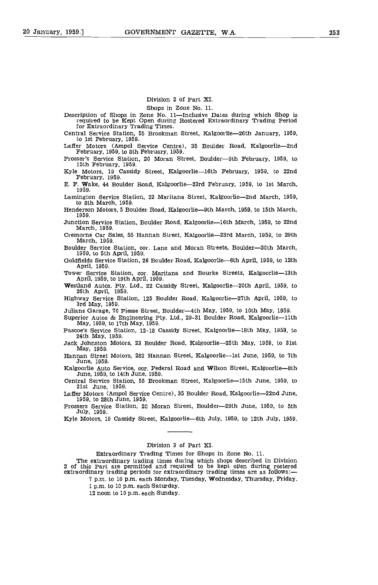### Division 2 of Part XI.

Shops in Zone No. 11.

Description of Shops in Zone No. 11—Inclusive Dates during which Shop is required to be Kept Open during Rostered Extraordinary Trading Period for Extraordinary Trading Times.

Central Service Station, 55 Brookman Street, Kalgoorlie-26th January, 1959, to 1st February, 1959.

Laffer Motors (Ampol Service Centre), 35 Boulder Road, Kalgoorlie-2nd February, 1959, to 8th February, 1959.

February 1959, to 8th February, 1959. Prosser's Service Station, 20 Moran Street, Boulder-9th February, 1959, to 15th February, 1959.

Kyle Motors, 19 Cassidy Street, Kalgoorlie–16th February, 1959, to 22nd February, 1959.

E. F. Wake, 44 Boulder Road, Kalgoorlie-23rd February, 1959, to 1st March, 1959.

Lamington Service Station, 32 Maritana Street, Kalgoorlie-2nd March, 1959, to 8th March, 1959.

Henderson Motors, 5 Boulder Road, Kalgoorlie--9th March, 1959, to 15th March, 1959.

Junction Service Station, Boulder Road, Kalgoorlie—16th March, 1959, to 22nd March, 1959.

Cremorne Car Sales, 55 Hannan Street, Kalgoorlie-23rd March, 1959, to 29th March, 1959.

Boulder Service Station, cor. Lane and Moran Streets, Boulder-3Oth March, 1959, to 5th April, 1959.

Goldfields Service Station, 26 Boulder Road, Kalgoorlie-6th April, 1959, to 12th April, 1959.

Tower Service Station, cor. Maritana and Bourke Streets, Kalgoorlie-13th April, 1959, to 19th April, 1959.

Westland Autos. Pty. Ltd., 22 Cassidy Street, Kalgoorlie-2Oth April, 1959, to 26th April, 1959.

Highway Service Station, 125 Boulder Road, Kalgoorlie-27th April, 1959, to 3rd May, 1959.

Julians Garage, 70 Piesse Street, Boulder-4th May, 1959, to 10th May, 1959.

Superior Autos & Engineering Pty. Ltd., 29-31 Boulder Road, Kalgoorlie-11th May, 1959, to 17th May, 1959.

Pascoe's Service Station, 12-18 Cassidy Street, Kalgoorlie-18th May, 1959, to 24th May, 1959.<br>Jack Johnston Motors, 23 Boulder Road, Kalgoorlie-25th May, 1959, to 31st

May, 1959.<br>Hannan Street Motors, 283 Hannan Street, Kalgoorlie--1st June, 1959, to 7th

June, 1959.

Kalgoorlie Auto Service, cor. Federal Road and Wilson Street, Kalgoorlie-8th June, 1959, to 14th June, 1959.

Central Service Station, 55 Brookman Street, Kalgoorlie-15th June, 1959, to 21st June, 1959.

Laffer Motors (Ampol Service centre), 35 Boulder Road, Kalgoorlie-22nd June, 1959, to 28th June, 1959.

Prossers Service Station, 20 Moran Street, Boulder-29th June, 1959, to 5th Juiy, 1959.

Kyle Motors, 19 Cassidy Street, Kalgoorlie–6th July, 1959, to 12th July, 1959.

### Division 3 of Part XI.

Extraordinary Trading Times for Shops in Zone No. 11.

The extraordinary trading times during which shops described in Division 2 of this Part are permitted and required to be kept open during rostered extraordinary trading periods for extraordinary trading times are as follows:- 7 p.m. to 10 p.m. each Monday, Tuesday, Wednesday, Thursday, Friday.

1 p.m. to 10 p.m. each Saturday.

12 noon to 10 p.m. each Sunday.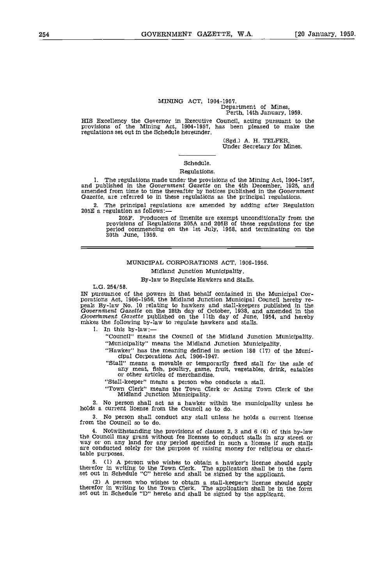## MINING ACT, 1904-1957. Department of Mines, Perth, 14th January, 1959.

HIS Excellency the Governor in Executive Council, acting pursuant to the provisions of the Mining Act, 1904-1957, has been pleased to make the regulations set out in the Schedule hereunder.

(Sgd.) A. H. TELFER, Under Secretary for Mines.

### Schedule.

### Regulations.

The regulations made under the provisions of the Mining Act, 1904-1957, and published in the Government Gazette on the 4th December, 1925, and amended from time to time thereafter by notices published in the Government Gazette, are referred to in these regulations as the principal regulations.

The principal regulations are amended by adding after Regulation 205E a regulation as follows:-

20SF. Producers of ilmenite are exempt unconditionally from the provisions of Regulations 205A and 205B of these regulations for the period commencing on the 1st July, 1958, and terminating on the 30th June, 1959.

### MUNICIPAL CORPORATIONS ACT, 1906-1956.

### Midland Junction Municipality.

### By-law to Regulate Hawkers and Stalls.

L.G. 254/58.

IN pursuance of the powers in that behalf contained in the Municipal Cor-<br>porations Act, 1906-1956, the Midland Junction Municipal Council hereby re-<br>peals By-law No. 10 relating to hawkers and stall-keepers published in t

"Council" means the Council of the Midland Junction Municipality. "Municipality" means the Midland Junction Municipality.

"Hawker" has the meaning defined in section 180 (17) of the Muni- cipal Corporations Act, 1906-1947.

"Stall" means a movable or temporarily fixed stall for the sale of any meat, fish, poultry, game, fruit, vegetables, drink, eatables or other articles of merchandise,

"Stall-keeper" means a person who conducts a stall.

"Town Clerk" means the Town Clerk or Acting Town Clerk of the Midland Junction Municipality.

No person shall act as a hawker within the municipality unless he holds a current license from the Council so to do.

No person shall conduct any stall unless he holds a current license from the Council so to do.

Notwithstanding the provisions of clauses 2, 3 and 6 (6) of this by-law the Council may grant without fee licenses to conduct stalls in any street or<br>way or on any land for any period specified in such a license if such stalls<br>are conducted solely for the purpose of raising money for religious table purposes.

(1) A person who wishes to obtain a hawker's license should apply therefor in writing to the Town Clerk. The application shall be in the form set out in Schedule "C" hereto and shall be signed by the applicant.

(2) A person who wishes to obtain a stall-keeper's license should apply therefor in writing to the Town Clerk. The application shall be in the form set out in Schedule "D" hereto and shall be signed by the applicant.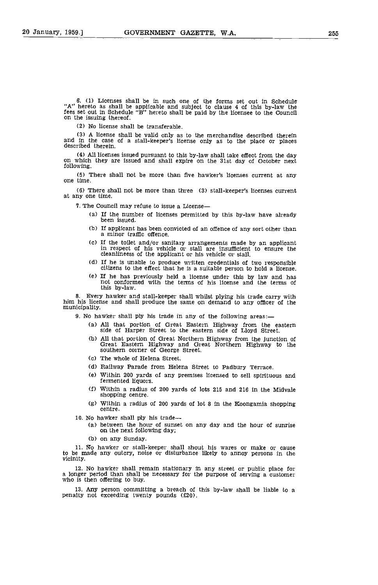6. (1) Licenses shall be in such one of the forms set out In Schedule 'A" hereto as shall be applicable and subject to clause 4 of this by-law the fees set out In Schedule "B" hereto shall be paid by the licensee to the Council on the issuing thereof.

No license shall be transferable.

A license shall be valid only as to the merchandise described therein and in the case of a stall-keeper's license only as to the place or places described therein.

AU licenses issued pursuant to this by-law shall take effect from the day on which they are issued and shall expire on the 31st day of October next following.

There shall not be more than five hawker's licenses current at any one time.

There shall not be more than three (3) stall-keeper's licenses current at any one time.

7. The Council may refuse to issue a License

- (a) If the number of licenses permitted by this by-law have already been issued.
- (b) If applicant has been convicted of an offence of any sort other than a minor traffic offence.
- (c) If the toilet and/or sanitary arrangements made by an applicant in respect of his vehicle or stall are insufficient to ensure the cleanlineess of the applicant or his vehicle or stall.
- (d) If he is unable to produce written credentials of two responsible citizens to the effect that he is a suitable person to hold a license.
- (e) If he has previously held a license under this by law and has not conformed with the terms of his license and the terms of this by-law.

8. Every hawker and stall-keeper shall whilst plying his trade carry with him his license and shall produce the same on demand to any officer of the municipality.

9. No hawker shall ply his trade in any of the following areas:

- All that portion of Great Eastern Highway from the eastern side of Harper Street to the eastern side of Lloyd Street.
- All that portion of Great Northern Highway from the junction of Great Eastern Highway and Great Northern Highway to the southern corner of George Street.
- Cc) The whole of Helena Street.
- (d) Railway Parade from Helena Street to Padbury Terrace.
- Ce) Within 200 yards of any premises licensed to sell spirituous and fermented liquors.
- Within a radius of 200 yards of lots 215 and 216 in the Midvale shopping centre.
- Within a radius of 200 yards of lot 8 in the Koongamia shopping centre.

- 10. No hawker shall ply his trade— $\frac{1}{10}$  (a) between the hour of sunset on any day and the hour of sunrise on the next following day;
	- (b) on any Sunday.

11. No hawker or stall-keeper shall shout his wares or make or cause to be made any outcry, noise or disturbance likely to annoy persons in the vicinity.

12. No hawker shall remain stationary in any street or public place for a longer period than shall be necessary for the purpose of serving a customer who is then offering to buy.

13. Any person committing a breach of this by-law shall be liable to a penalty not exceeding twenty pounds  $(f20)$ .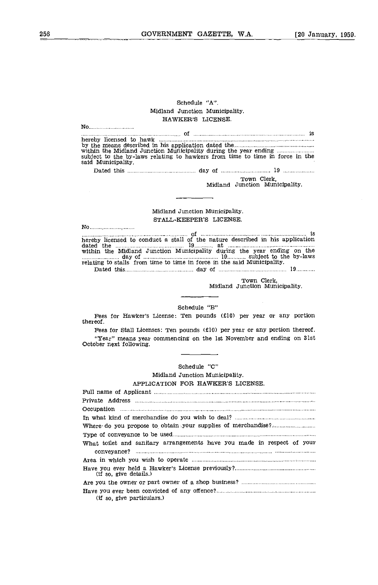### Schedule "A". Midland Junction Municipality. HAWKER'S LICENSE.

| No                                                                                             |
|------------------------------------------------------------------------------------------------|
|                                                                                                |
|                                                                                                |
| subject to the by-laws relating to hawkers from time to time in force in the                   |
| said Municipality.                                                                             |
|                                                                                                |
| Town Clerk,                                                                                    |
| Midland Junction Municipality.                                                                 |
|                                                                                                |
|                                                                                                |
| Midland Junction Municipality.                                                                 |
| STALL-KEEPER'S LICENSE.                                                                        |
|                                                                                                |
| hereby licensed to conduct a stall of the nature described in his application                  |
| within the Midland Junction Municipality during the year ending on the                         |
| day of manufactured in 19 minutes as by-laws day of manufactured in 19 minutes.                |
| relating to stalls from time to time in force in the said Municipality.                        |
|                                                                                                |
| Town Clerk,<br>Midland Junction Municipality.                                                  |
|                                                                                                |
|                                                                                                |
| Schedule "B"                                                                                   |
| Fees for Hawker's License: Ten pounds (£10) per year or any portion<br>thereof.                |
| Fees for Stall Licenses: Ten pounds $(f10)$ per year or any portion thereof.                   |
| "Year" means year commencing on the 1st November and ending on 31st<br>October next following. |
|                                                                                                |
|                                                                                                |
| Schedule "C"                                                                                   |
| Midland Junction Municipality.                                                                 |
| APPLICATION FOR HAWKER'S LICENSE.                                                              |
|                                                                                                |
|                                                                                                |
|                                                                                                |
|                                                                                                |
|                                                                                                |
|                                                                                                |
| What toilet and sanitary arrangements have you made in respect of your                         |
|                                                                                                |
|                                                                                                |
| (if so, give details.)                                                                         |
|                                                                                                |
|                                                                                                |

(if so, give particulars.)